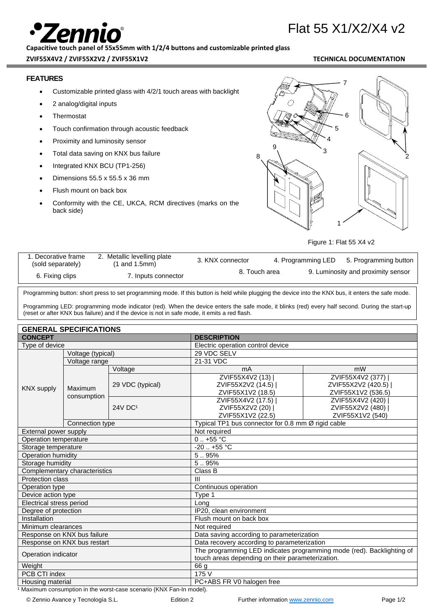# Flat 55 X1/X2/X4 v2

**Capacitive touch panel of 55x55mm with 1/2/4 buttons and customizable printed glass**

### **ZVIF55X4V2 / ZVIF55X2V2 / ZVIF55X1V2 TECHNICAL DOCUMENTATION**

### **FEATURES**

- Customizable printed glass with 4/2/1 touch areas with backlight
- 2 analog/digital inputs
- **Thermostat**
- Touch confirmation through acoustic feedback
- Proximity and luminosity sensor
- Total data saving on KNX bus failure
- Integrated KNX BCU (TP1-256)
- Dimensions 55.5 x 55.5 x 36 mm
- Flush mount on back box
- Conformity with the CE, UKCA, RCM directives (marks on the back side)



Figure 1: Flat 55 X4 v2

| . Decorative frame<br>(sold separately) | 2. Metallic levelling plate<br>$(1$ and $1.5$ mm) | 3. KNX connector | 4. Programming LED | 5. Programming button              |
|-----------------------------------------|---------------------------------------------------|------------------|--------------------|------------------------------------|
| 6. Fixing clips                         | 7. Inputs connector                               | 8. Touch area    |                    | 9. Luminosity and proximity sensor |

Programming button: short press to set programming mode. If this button is held while plugging the device into the KNX bus, it enters the safe mode.

Programming LED: programming mode indicator (red). When the device enters the safe mode, it blinks (red) every half second. During the start-up (reset or after KNX bus failure) and if the device is not in safe mode, it emits a red flash.

## **GENERAL SPECIFICATIONS**

| <b>CONCEPT</b>           | בועבו הסטו ונטברים וס                                                                        |                     | <b>DESCRIPTION</b>                                                    |                    |  |
|--------------------------|----------------------------------------------------------------------------------------------|---------------------|-----------------------------------------------------------------------|--------------------|--|
| Type of device           |                                                                                              |                     | Electric operation control device                                     |                    |  |
|                          | Voltage (typical)                                                                            |                     | 29 VDC SELV                                                           |                    |  |
|                          | Voltage range                                                                                |                     | 21-31 VDC                                                             |                    |  |
|                          |                                                                                              | Voltage             | mA                                                                    | mW                 |  |
|                          |                                                                                              |                     | ZVIF55X4V2 (13)                                                       | ZVIF55X4V2 (377)   |  |
|                          | Maximum                                                                                      | 29 VDC (typical)    | ZVIF55X2V2 (14.5)                                                     | ZVIF55X2V2 (420.5) |  |
|                          | <b>KNX supply</b><br>consumption                                                             |                     | ZVIF55X1V2 (18.5)                                                     | ZVIF55X1V2 (536.5) |  |
|                          |                                                                                              | 24V DC <sup>1</sup> | ZVIF55X4V2 (17.5)                                                     | ZVIF55X4V2 (420)   |  |
|                          |                                                                                              |                     | ZVIF55X2V2 (20)                                                       | ZVIF55X2V2 (480)   |  |
|                          |                                                                                              |                     | ZVIF55X1V2 (22.5)                                                     | ZVIF55X1V2 (540)   |  |
|                          | Typical TP1 bus connector for 0.8 mm $\overline{\varnothing}$ rigid cable<br>Connection type |                     |                                                                       |                    |  |
| External power supply    |                                                                                              |                     | Not required                                                          |                    |  |
| Operation temperature    |                                                                                              |                     | $0.1 + 55$ °C                                                         |                    |  |
| Storage temperature      |                                                                                              |                     | $-20$ $+55$ °C                                                        |                    |  |
| Operation humidity       |                                                                                              |                     | 5.95%                                                                 |                    |  |
| Storage humidity         |                                                                                              |                     | $\overline{5}$ 95%                                                    |                    |  |
|                          | Complementary characteristics                                                                |                     | Class B                                                               |                    |  |
| Protection class         |                                                                                              |                     | $\mathbf{III}$                                                        |                    |  |
| Operation type           |                                                                                              |                     | Continuous operation                                                  |                    |  |
| Device action type       |                                                                                              |                     | Type 1                                                                |                    |  |
| Electrical stress period |                                                                                              | Long                |                                                                       |                    |  |
| Degree of protection     |                                                                                              |                     | IP20, clean environment                                               |                    |  |
| Installation             |                                                                                              |                     | Flush mount on back box                                               |                    |  |
| Minimum clearances       |                                                                                              |                     | Not required                                                          |                    |  |
|                          | Response on KNX bus failure                                                                  |                     | Data saving according to parameterization                             |                    |  |
|                          | Response on KNX bus restart                                                                  |                     | Data recovery according to parameterization                           |                    |  |
| Operation indicator      |                                                                                              |                     | The programming LED indicates programming mode (red). Backlighting of |                    |  |
|                          |                                                                                              |                     | touch areas depending on their parameterization.                      |                    |  |
| Weight                   |                                                                                              |                     | 66 g                                                                  |                    |  |
| PCB CTI index            |                                                                                              |                     | 175 V                                                                 |                    |  |
| Housing material         |                                                                                              |                     | PC+ABS FR V0 halogen free                                             |                    |  |

<sup>1</sup> Maximum consumption in the worst-case scenario (KNX Fan-In model).